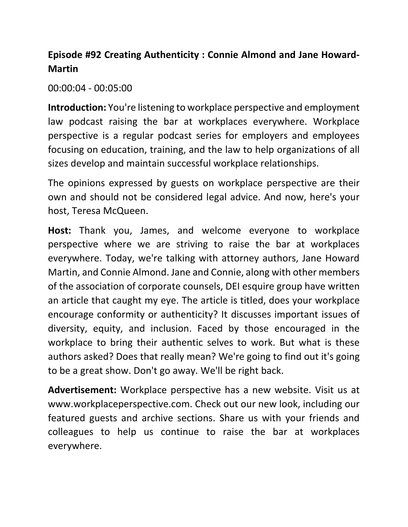## **Episode #92 Creating Authenticity : Connie Almond and Jane Howard-Martin**

00:00:04 - 00:05:00

**Introduction:** You're listening to workplace perspective and employment law podcast raising the bar at workplaces everywhere. Workplace perspective is a regular podcast series for employers and employees focusing on education, training, and the law to help organizations of all sizes develop and maintain successful workplace relationships.

The opinions expressed by guests on workplace perspective are their own and should not be considered legal advice. And now, here's your host, Teresa McQueen.

 of the association of corporate counsels, DEI esquire group have written diversity, equity, and inclusion. Faced by those encouraged in the authors asked? Does that really mean? We're going to find out it's going to be a great show. Don't go away. We'll be right back. **Host:** Thank you, James, and welcome everyone to workplace perspective where we are striving to raise the bar at workplaces everywhere. Today, we're talking with attorney authors, Jane Howard Martin, and Connie Almond. Jane and Connie, along with other members an article that caught my eye. The article is titled, does your workplace encourage conformity or authenticity? It discusses important issues of workplace to bring their authentic selves to work. But what is these

**Advertisement:** Workplace perspective has a new website. Visit us at [www.workplaceperspective.com.](www.workplaceperspective.com) Check out our new look, including our featured guests and archive sections. Share us with your friends and colleagues to help us continue to raise the bar at workplaces everywhere.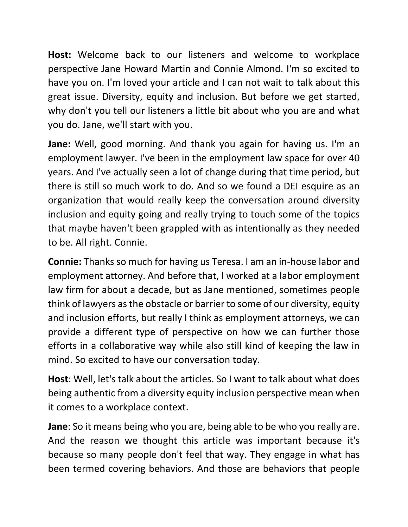have you on. I'm loved your article and I can not wait to talk about this you do. Jane, we'll start with you. **Host:** Welcome back to our listeners and welcome to workplace perspective Jane Howard Martin and Connie Almond. I'm so excited to great issue. Diversity, equity and inclusion. But before we get started, why don't you tell our listeners a little bit about who you are and what

 employment lawyer. I've been in the employment law space for over 40 years. And I've actually seen a lot of change during that time period, but **Jane:** Well, good morning. And thank you again for having us. I'm an there is still so much work to do. And so we found a DEI esquire as an organization that would really keep the conversation around diversity inclusion and equity going and really trying to touch some of the topics that maybe haven't been grappled with as intentionally as they needed to be. All right. Connie.

 employment attorney. And before that, I worked at a labor employment **Connie:** Thanks so much for having us Teresa. I am an in-house labor and law firm for about a decade, but as Jane mentioned, sometimes people think of lawyers as the obstacle or barrier to some of our diversity, equity and inclusion efforts, but really I think as employment attorneys, we can provide a different type of perspective on how we can further those efforts in a collaborative way while also still kind of keeping the law in mind. So excited to have our conversation today.

**Host**: Well, let's talk about the articles. So I want to talk about what does being authentic from a diversity equity inclusion perspective mean when it comes to a workplace context.

 **Jane**: So it means being who you are, being able to be who you really are. And the reason we thought this article was important because it's because so many people don't feel that way. They engage in what has been termed covering behaviors. And those are behaviors that people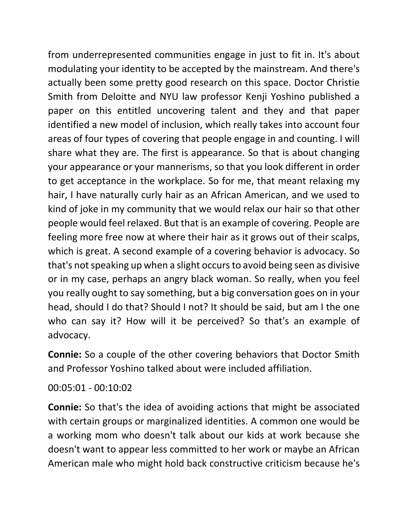from underrepresented communities engage in just to fit in. It's about modulating your identity to be accepted by the mainstream. And there's identified a new model of inclusion, which really takes into account four to get acceptance in the workplace. So for me, that meant relaxing my kind of joke in my community that we would relax our hair so that other which is great. A second example of a covering behavior is advocacy. So actually been some pretty good research on this space. Doctor Christie Smith from Deloitte and NYU law professor Kenji Yoshino published a paper on this entitled uncovering talent and they and that paper areas of four types of covering that people engage in and counting. I will share what they are. The first is appearance. So that is about changing your appearance or your mannerisms, so that you look different in order hair, I have naturally curly hair as an African American, and we used to people would feel relaxed. But that is an example of covering. People are feeling more free now at where their hair as it grows out of their scalps, that's not speaking up when a slight occurs to avoid being seen as divisive or in my case, perhaps an angry black woman. So really, when you feel you really ought to say something, but a big conversation goes on in your head, should I do that? Should I not? It should be said, but am I the one who can say it? How will it be perceived? So that's an example of advocacy.

 and Professor Yoshino talked about were included affiliation. **Connie:** So a couple of the other covering behaviors that Doctor Smith

00:05:01 - 00:10:02

 with certain groups or marginalized identities. A common one would be doesn't want to appear less committed to her work or maybe an African **Connie:** So that's the idea of avoiding actions that might be associated a working mom who doesn't talk about our kids at work because she American male who might hold back constructive criticism because he's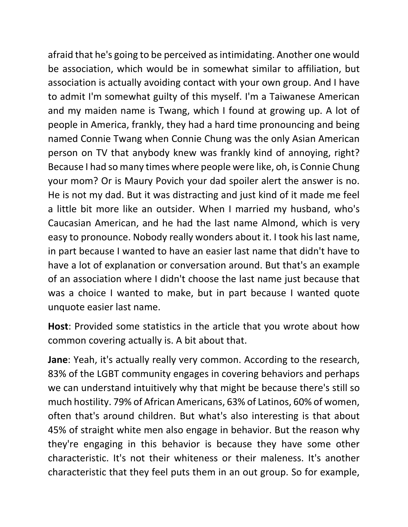afraid that he's going to be perceived as intimidating. Another one would unquote easier last name. be association, which would be in somewhat similar to affiliation, but association is actually avoiding contact with your own group. And I have to admit I'm somewhat guilty of this myself. I'm a Taiwanese American and my maiden name is Twang, which I found at growing up. A lot of people in America, frankly, they had a hard time pronouncing and being named Connie Twang when Connie Chung was the only Asian American person on TV that anybody knew was frankly kind of annoying, right? Because I had so many times where people were like, oh, is Connie Chung your mom? Or is Maury Povich your dad spoiler alert the answer is no. He is not my dad. But it was distracting and just kind of it made me feel a little bit more like an outsider. When I married my husband, who's Caucasian American, and he had the last name Almond, which is very easy to pronounce. Nobody really wonders about it. I took his last name, in part because I wanted to have an easier last name that didn't have to have a lot of explanation or conversation around. But that's an example of an association where I didn't choose the last name just because that was a choice I wanted to make, but in part because I wanted quote

**Host**: Provided some statistics in the article that you wrote about how common covering actually is. A bit about that.

 83% of the LGBT community engages in covering behaviors and perhaps we can understand intuitively why that might be because there's still so much hostility. 79% of African Americans, 63% of Latinos, 60% of women, 45% of straight white men also engage in behavior. But the reason why characteristic that they feel puts them in an out group. So for example, **Jane**: Yeah, it's actually really very common. According to the research, often that's around children. But what's also interesting is that about they're engaging in this behavior is because they have some other characteristic. It's not their whiteness or their maleness. It's another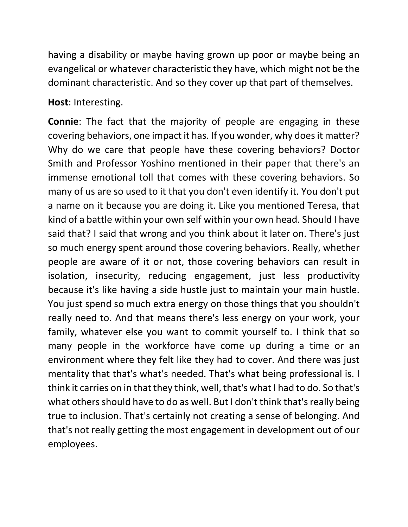having a disability or maybe having grown up poor or maybe being an evangelical or whatever characteristic they have, which might not be the dominant characteristic. And so they cover up that part of themselves.

**Host**: Interesting.

 Why do we care that people have these covering behaviors? Doctor Smith and Professor Yoshino mentioned in their paper that there's an many of us are so used to it that you don't even identify it. You don't put people are aware of it or not, those covering behaviors can result in You just spend so much extra energy on those things that you shouldn't true to inclusion. That's certainly not creating a sense of belonging. And **Connie**: The fact that the majority of people are engaging in these covering behaviors, one impact it has. If you wonder, why does it matter? immense emotional toll that comes with these covering behaviors. So a name on it because you are doing it. Like you mentioned Teresa, that kind of a battle within your own self within your own head. Should I have said that? I said that wrong and you think about it later on. There's just so much energy spent around those covering behaviors. Really, whether isolation, insecurity, reducing engagement, just less productivity because it's like having a side hustle just to maintain your main hustle. really need to. And that means there's less energy on your work, your family, whatever else you want to commit yourself to. I think that so many people in the workforce have come up during a time or an environment where they felt like they had to cover. And there was just mentality that that's what's needed. That's what being professional is. I think it carries on in that they think, well, that's what I had to do. So that's what others should have to do as well. But I don't think that's really being that's not really getting the most engagement in development out of our employees.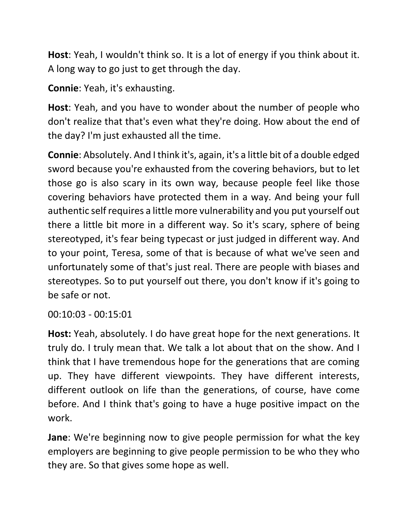A long way to go just to get through the day. **Host**: Yeah, I wouldn't think so. It is a lot of energy if you think about it.

**Connie**: Yeah, it's exhausting.

 the day? I'm just exhausted all the time. **Host**: Yeah, and you have to wonder about the number of people who don't realize that that's even what they're doing. How about the end of

 sword because you're exhausted from the covering behaviors, but to let stereotypes. So to put yourself out there, you don't know if it's going to be safe or not. **Connie**: Absolutely. And I think it's, again, it's a little bit of a double edged those go is also scary in its own way, because people feel like those covering behaviors have protected them in a way. And being your full authentic self requires a little more vulnerability and you put yourself out there a little bit more in a different way. So it's scary, sphere of being stereotyped, it's fear being typecast or just judged in different way. And to your point, Teresa, some of that is because of what we've seen and unfortunately some of that's just real. There are people with biases and

00:10:03 - 00:15:01

**Host:** Yeah, absolutely. I do have great hope for the next generations. It truly do. I truly mean that. We talk a lot about that on the show. And I think that I have tremendous hope for the generations that are coming up. They have different viewpoints. They have different interests, different outlook on life than the generations, of course, have come before. And I think that's going to have a huge positive impact on the work.

 they are. So that gives some hope as well. **Jane**: We're beginning now to give people permission for what the key employers are beginning to give people permission to be who they who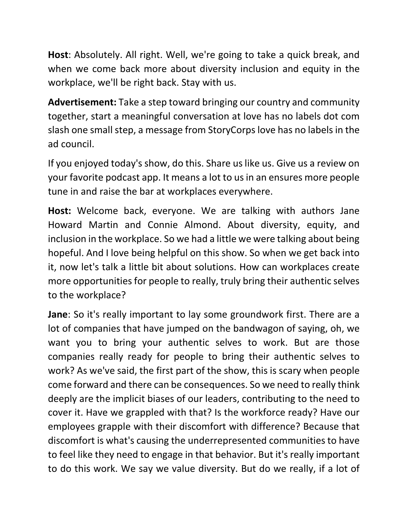when we come back more about diversity inclusion and equity in the workplace, we'll be right back. Stay with us. **Host**: Absolutely. All right. Well, we're going to take a quick break, and

 slash one small step, a message from StoryCorps love has no labels in the **Advertisement:** Take a step toward bringing our country and community together, start a meaningful conversation at love has no labels dot com ad council.

 If you enjoyed today's show, do this. Share us like us. Give us a review on tune in and raise the bar at workplaces everywhere. your favorite podcast app. It means a lot to us in an ensures more people

 Howard Martin and Connie Almond. About diversity, equity, and inclusion in the workplace. So we had a little we were talking about being hopeful. And I love being helpful on this show. So when we get back into it, now let's talk a little bit about solutions. How can workplaces create to the workplace? **Host:** Welcome back, everyone. We are talking with authors Jane more opportunities for people to really, truly bring their authentic selves

 work? As we've said, the first part of the show, this is scary when people deeply are the implicit biases of our leaders, contributing to the need to cover it. Have we grappled with that? Is the workforce ready? Have our to do this work. We say we value diversity. But do we really, if a lot of **Jane**: So it's really important to lay some groundwork first. There are a lot of companies that have jumped on the bandwagon of saying, oh, we want you to bring your authentic selves to work. But are those companies really ready for people to bring their authentic selves to come forward and there can be consequences. So we need to really think employees grapple with their discomfort with difference? Because that discomfort is what's causing the underrepresented communities to have to feel like they need to engage in that behavior. But it's really important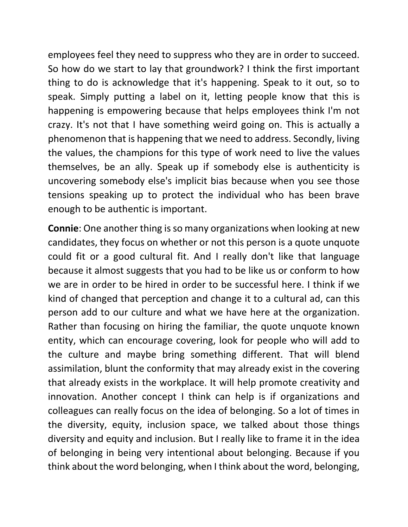employees feel they need to suppress who they are in order to succeed. speak. Simply putting a label on it, letting people know that this is themselves, be an ally. Speak up if somebody else is authenticity is uncovering somebody else's implicit bias because when you see those enough to be authentic is important. So how do we start to lay that groundwork? I think the first important thing to do is acknowledge that it's happening. Speak to it out, so to happening is empowering because that helps employees think I'm not crazy. It's not that I have something weird going on. This is actually a phenomenon that is happening that we need to address. Secondly, living the values, the champions for this type of work need to live the values tensions speaking up to protect the individual who has been brave

 assimilation, blunt the conformity that may already exist in the covering colleagues can really focus on the idea of belonging. So a lot of times in the diversity, equity, inclusion space, we talked about those things **Connie**: One another thing is so many organizations when looking at new candidates, they focus on whether or not this person is a quote unquote could fit or a good cultural fit. And I really don't like that language because it almost suggests that you had to be like us or conform to how we are in order to be hired in order to be successful here. I think if we kind of changed that perception and change it to a cultural ad, can this person add to our culture and what we have here at the organization. Rather than focusing on hiring the familiar, the quote unquote known entity, which can encourage covering, look for people who will add to the culture and maybe bring something different. That will blend that already exists in the workplace. It will help promote creativity and innovation. Another concept I think can help is if organizations and diversity and equity and inclusion. But I really like to frame it in the idea of belonging in being very intentional about belonging. Because if you think about the word belonging, when I think about the word, belonging,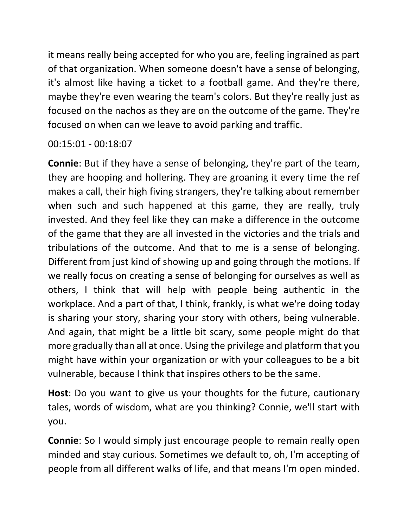it means really being accepted for who you are, feeling ingrained as part of that organization. When someone doesn't have a sense of belonging, it's almost like having a ticket to a football game. And they're there, maybe they're even wearing the team's colors. But they're really just as focused on the nachos as they are on the outcome of the game. They're focused on when can we leave to avoid parking and traffic.

00:15:01 - 00:18:07

 makes a call, their high fiving strangers, they're talking about remember workplace. And a part of that, I think, frankly, is what we're doing today **Connie**: But if they have a sense of belonging, they're part of the team, they are hooping and hollering. They are groaning it every time the ref when such and such happened at this game, they are really, truly invested. And they feel like they can make a difference in the outcome of the game that they are all invested in the victories and the trials and tribulations of the outcome. And that to me is a sense of belonging. Different from just kind of showing up and going through the motions. If we really focus on creating a sense of belonging for ourselves as well as others, I think that will help with people being authentic in the is sharing your story, sharing your story with others, being vulnerable. And again, that might be a little bit scary, some people might do that more gradually than all at once. Using the privilege and platform that you might have within your organization or with your colleagues to be a bit vulnerable, because I think that inspires others to be the same.

 tales, words of wisdom, what are you thinking? Connie, we'll start with **Host**: Do you want to give us your thoughts for the future, cautionary you.

 people from all different walks of life, and that means I'm open minded. **Connie**: So I would simply just encourage people to remain really open minded and stay curious. Sometimes we default to, oh, I'm accepting of